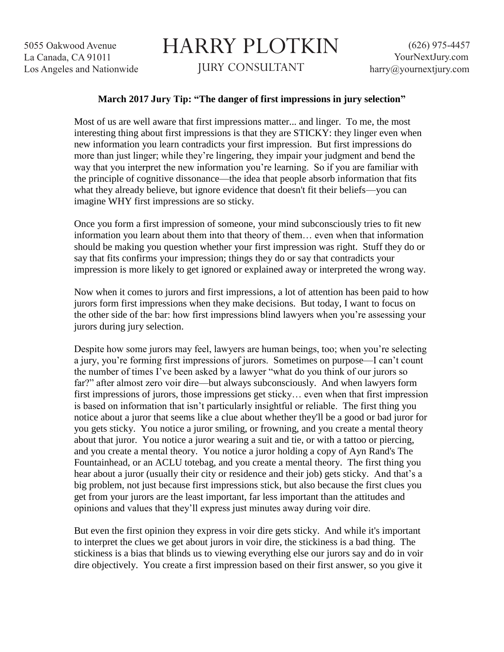5055 Oakwood Avenue La Canada, CA 91011 Los Angeles and Nationwide

## HARRY PLOTKIN JURY CONSULTANT

## **March 2017 Jury Tip: "The danger of first impressions in jury selection"**

Most of us are well aware that first impressions matter... and linger. To me, the most interesting thing about first impressions is that they are STICKY: they linger even when new information you learn contradicts your first impression. But first impressions do more than just linger; while they're lingering, they impair your judgment and bend the way that you interpret the new information you're learning. So if you are familiar with the principle of cognitive dissonance—the idea that people absorb information that fits what they already believe, but ignore evidence that doesn't fit their beliefs—you can imagine WHY first impressions are so sticky.

Once you form a first impression of someone, your mind subconsciously tries to fit new information you learn about them into that theory of them… even when that information should be making you question whether your first impression was right. Stuff they do or say that fits confirms your impression; things they do or say that contradicts your impression is more likely to get ignored or explained away or interpreted the wrong way.

Now when it comes to jurors and first impressions, a lot of attention has been paid to how jurors form first impressions when they make decisions. But today, I want to focus on the other side of the bar: how first impressions blind lawyers when you're assessing your jurors during jury selection.

Despite how some jurors may feel, lawyers are human beings, too; when you're selecting a jury, you're forming first impressions of jurors. Sometimes on purpose—I can't count the number of times I've been asked by a lawyer "what do you think of our jurors so far?" after almost zero voir dire—but always subconsciously. And when lawyers form first impressions of jurors, those impressions get sticky… even when that first impression is based on information that isn't particularly insightful or reliable. The first thing you notice about a juror that seems like a clue about whether they'll be a good or bad juror for you gets sticky. You notice a juror smiling, or frowning, and you create a mental theory about that juror. You notice a juror wearing a suit and tie, or with a tattoo or piercing, and you create a mental theory. You notice a juror holding a copy of Ayn Rand's The Fountainhead, or an ACLU totebag, and you create a mental theory. The first thing you hear about a juror (usually their city or residence and their job) gets sticky. And that's a big problem, not just because first impressions stick, but also because the first clues you get from your jurors are the least important, far less important than the attitudes and opinions and values that they'll express just minutes away during voir dire.

But even the first opinion they express in voir dire gets sticky. And while it's important to interpret the clues we get about jurors in voir dire, the stickiness is a bad thing. The stickiness is a bias that blinds us to viewing everything else our jurors say and do in voir dire objectively. You create a first impression based on their first answer, so you give it